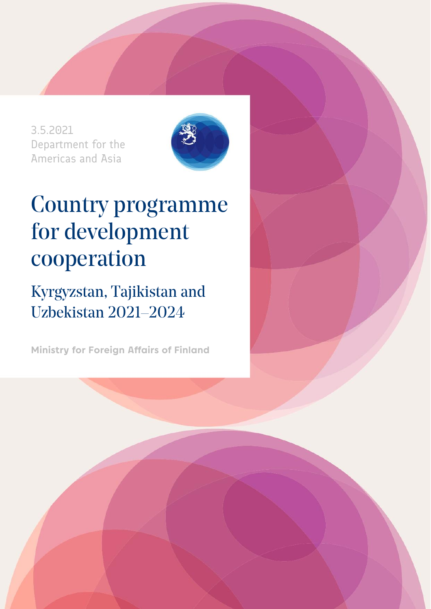3.5.2021 Department for the Americas and Asia



# Country programme for development cooperation

Kyrgyzstan, Tajikistan and Uzbekistan 2021–2024

**Ministry for Foreign Affairs of Finland**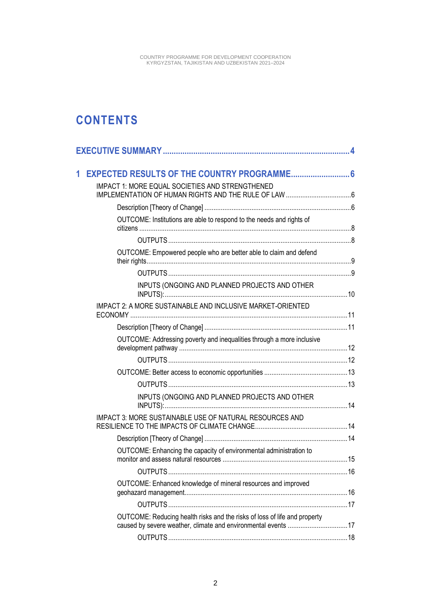### **CONTENTS**

| 1 |                                                                           |  |
|---|---------------------------------------------------------------------------|--|
|   | <b>IMPACT 1: MORE EQUAL SOCIETIES AND STRENGTHENED</b>                    |  |
|   |                                                                           |  |
|   | OUTCOME: Institutions are able to respond to the needs and rights of      |  |
|   |                                                                           |  |
|   | OUTCOME: Empowered people who are better able to claim and defend         |  |
|   |                                                                           |  |
|   | INPUTS (ONGOING AND PLANNED PROJECTS AND OTHER                            |  |
|   | IMPACT 2: A MORE SUSTAINABLE AND INCLUSIVE MARKET-ORIENTED                |  |
|   |                                                                           |  |
|   | OUTCOME: Addressing poverty and inequalities through a more inclusive     |  |
|   |                                                                           |  |
|   |                                                                           |  |
|   |                                                                           |  |
|   | INPUTS (ONGOING AND PLANNED PROJECTS AND OTHER                            |  |
|   | IMPACT 3: MORE SUSTAINABLE USE OF NATURAL RESOURCES AND                   |  |
|   |                                                                           |  |
|   | OUTCOME: Enhancing the capacity of environmental administration to        |  |
|   |                                                                           |  |
|   | OUTCOME: Enhanced knowledge of mineral resources and improved             |  |
|   |                                                                           |  |
|   | OUTCOME: Reducing health risks and the risks of loss of life and property |  |
|   |                                                                           |  |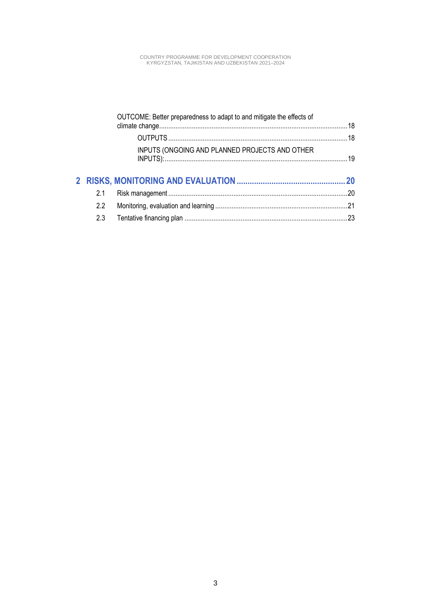|     | OUTCOME: Better preparedness to adapt to and mitigate the effects of |  |
|-----|----------------------------------------------------------------------|--|
|     |                                                                      |  |
|     | INPUTS (ONGOING AND PLANNED PROJECTS AND OTHER                       |  |
|     |                                                                      |  |
| 2.1 |                                                                      |  |
| 2.2 |                                                                      |  |
| 2.3 |                                                                      |  |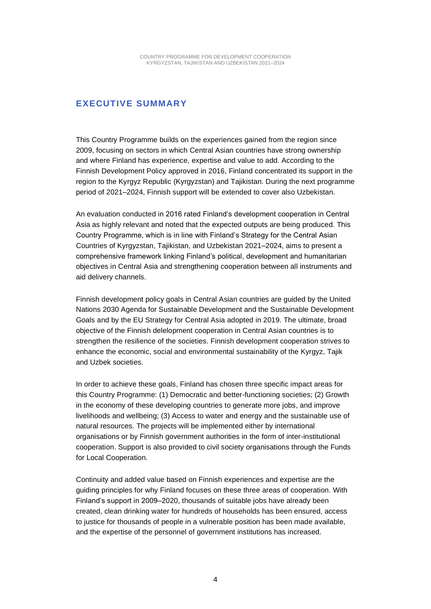#### <span id="page-3-0"></span>**EXECUTIVE SUMMARY**

This Country Programme builds on the experiences gained from the region since 2009, focusing on sectors in which Central Asian countries have strong ownership and where Finland has experience, expertise and value to add. According to the Finnish Development Policy approved in 2016, Finland concentrated its support in the region to the Kyrgyz Republic (Kyrgyzstan) and Tajikistan. During the next programme period of 2021–2024, Finnish support will be extended to cover also Uzbekistan.

An evaluation conducted in 2016 rated Finland's development cooperation in Central Asia as highly relevant and noted that the expected outputs are being produced. This Country Programme, which is in line with Finland's Strategy for the Central Asian Countries of Kyrgyzstan, Tajikistan, and Uzbekistan 2021–2024, aims to present a comprehensive framework linking Finland's political, development and humanitarian objectives in Central Asia and strengthening cooperation between all instruments and aid delivery channels.

Finnish development policy goals in Central Asian countries are guided by the United Nations 2030 Agenda for Sustainable Development and the Sustainable Development Goals and by the EU Strategy for Central Asia adopted in 2019. The ultimate, broad objective of the Finnish delelopment cooperation in Central Asian countries is to strengthen the resilience of the societies. Finnish development cooperation strives to enhance the economic, social and environmental sustainability of the Kyrgyz, Tajik and Uzbek societies.

In order to achieve these goals, Finland has chosen three specific impact areas for this Country Programme: (1) Democratic and better-functioning societies; (2) Growth in the economy of these developing countries to generate more jobs, and improve livelihoods and wellbeing; (3) Access to water and energy and the sustainable use of natural resources. The projects will be implemented either by international organisations or by Finnish government authorities in the form of inter-institutional cooperation. Support is also provided to civil society organisations through the Funds for Local Cooperation.

Continuity and added value based on Finnish experiences and expertise are the guiding principles for why Finland focuses on these three areas of cooperation. With Finland's support in 2009–2020, thousands of suitable jobs have already been created, clean drinking water for hundreds of households has been ensured, access to justice for thousands of people in a vulnerable position has been made available, and the expertise of the personnel of government institutions has increased.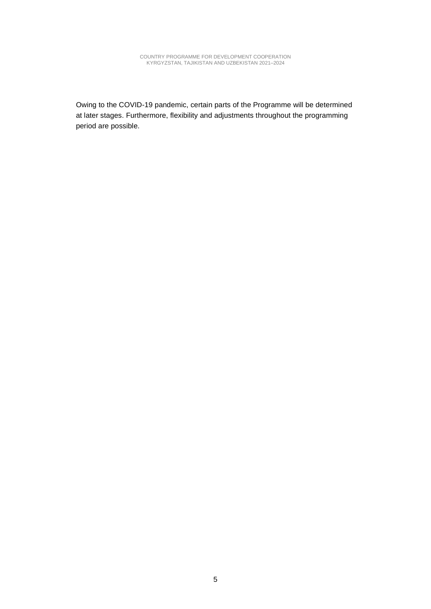Owing to the COVID-19 pandemic, certain parts of the Programme will be determined at later stages. Furthermore, flexibility and adjustments throughout the programming period are possible.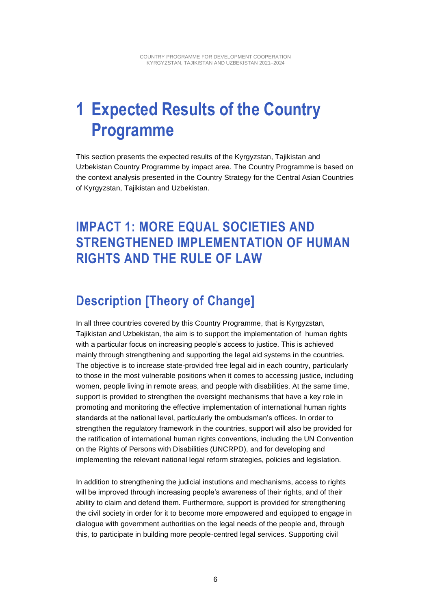## <span id="page-5-0"></span>**1 Expected Results of the Country Programme**

This section presents the expected results of the Kyrgyzstan, Tajikistan and Uzbekistan Country Programme by impact area. The Country Programme is based on the context analysis presented in the Country Strategy for the Central Asian Countries of Kyrgyzstan, Tajikistan and Uzbekistan.

### <span id="page-5-1"></span>**IMPACT 1: MORE EQUAL SOCIETIES AND STRENGTHENED IMPLEMENTATION OF HUMAN RIGHTS AND THE RULE OF LAW**

### <span id="page-5-2"></span>**Description [Theory of Change]**

In all three countries covered by this Country Programme, that is Kyrgyzstan, Tajikistan and Uzbekistan, the aim is to support the implementation of human rights with a particular focus on increasing people's access to justice. This is achieved mainly through strengthening and supporting the legal aid systems in the countries. The objective is to increase state-provided free legal aid in each country, particularly to those in the most vulnerable positions when it comes to accessing justice, including women, people living in remote areas, and people with disabilities. At the same time, support is provided to strengthen the oversight mechanisms that have a key role in promoting and monitoring the effective implementation of international human rights standards at the national level, particularly the ombudsman's offices. In order to strengthen the regulatory framework in the countries, support will also be provided for the ratification of international human rights conventions, including the UN Convention on the Rights of Persons with Disabilities (UNCRPD), and for developing and implementing the relevant national legal reform strategies, policies and legislation.

In addition to strengthening the judicial instutions and mechanisms, access to rights will be improved through increasing people's awareness of their rights, and of their ability to claim and defend them. Furthermore, support is provided for strengthening the civil society in order for it to become more empowered and equipped to engage in dialogue with government authorities on the legal needs of the people and, through this, to participate in building more people-centred legal services. Supporting civil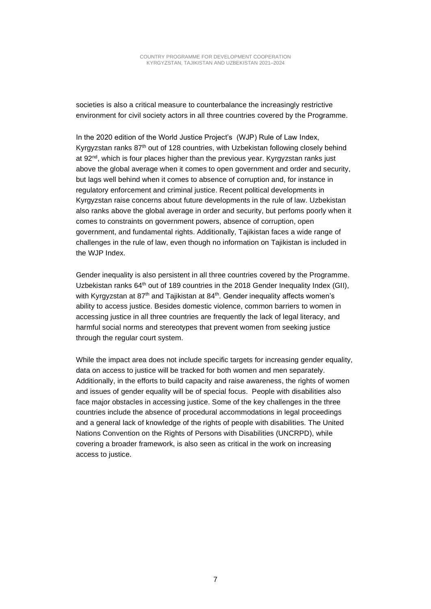societies is also a critical measure to counterbalance the increasingly restrictive environment for civil society actors in all three countries covered by the Programme.

In the 2020 edition of the World Justice Project's (WJP) Rule of Law Index, Kyrgyzstan ranks 87<sup>th</sup> out of 128 countries, with Uzbekistan following closely behind at  $92<sup>nd</sup>$ , which is four places higher than the previous year. Kyrgyzstan ranks just above the global average when it comes to open government and order and security, but lags well behind when it comes to absence of corruption and, for instance in regulatory enforcement and criminal justice. Recent political developments in Kyrgyzstan raise concerns about future developments in the rule of law. Uzbekistan also ranks above the global average in order and security, but perfoms poorly when it comes to constraints on government powers, absence of corruption, open government, and fundamental rights. Additionally, Tajikistan faces a wide range of challenges in the rule of law, even though no information on Tajikistan is included in the WJP Index.

Gender inequality is also persistent in all three countries covered by the Programme. Uzbekistan ranks  $64<sup>th</sup>$  out of 189 countries in the 2018 Gender Inequality Index (GII), with Kyrgyzstan at 87<sup>th</sup> and Tajikistan at 84<sup>th</sup>. Gender inequality affects women's ability to access justice. Besides domestic violence, common barriers to women in accessing justice in all three countries are frequently the lack of legal literacy, and harmful social norms and stereotypes that prevent women from seeking justice through the regular court system.

While the impact area does not include specific targets for increasing gender equality, data on access to justice will be tracked for both women and men separately. Additionally, in the efforts to build capacity and raise awareness, the rights of women and issues of gender equality will be of special focus. People with disabilities also face maior obstacles in accessing justice. Some of the key challenges in the three countries include the absence of procedural accommodations in legal proceedings and a general lack of knowledge of the rights of people with disabilities. The United Nations Convention on the Rights of Persons with Disabilities (UNCRPD), while covering a broader framework, is also seen as critical in the work on increasing access to justice.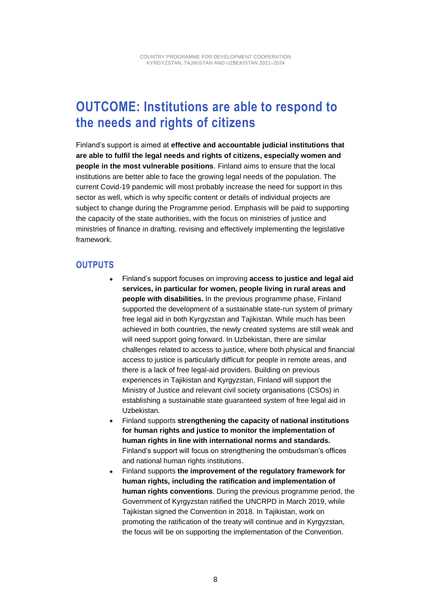### <span id="page-7-0"></span>**OUTCOME: Institutions are able to respond to the needs and rights of citizens**

Finland's support is aimed at **effective and accountable judicial institutions that are able to fulfil the legal needs and rights of citizens, especially women and people in the most vulnerable positions**. Finland aims to ensure that the local institutions are better able to face the growing legal needs of the population. The current Covid-19 pandemic will most probably increase the need for support in this sector as well, which is why specific content or details of individual projects are subject to change during the Programme period. Emphasis will be paid to supporting the capacity of the state authorities, with the focus on ministries of justice and ministries of finance in drafting, revising and effectively implementing the legislative framework.

#### <span id="page-7-1"></span>**OUTPUTS**

- Finland's support focuses on improving **access to justice and legal aid services, in particular for women, people living in rural areas and people with disabilities.** In the previous programme phase, Finland supported the development of a sustainable state-run system of primary free legal aid in both Kyrgyzstan and Tajikistan. While much has been achieved in both countries, the newly created systems are still weak and will need support going forward. In Uzbekistan, there are similar challenges related to access to justice, where both physical and financial access to justice is particularly difficult for people in remote areas, and there is a lack of free legal-aid providers. Building on previous experiences in Tajikistan and Kyrgyzstan, Finland will support the Ministry of Justice and relevant civil society organisations (CSOs) in establishing a sustainable state guaranteed system of free legal aid in Uzbekistan.
- Finland supports **strengthening the capacity of national institutions for human rights and justice to monitor the implementation of human rights in line with international norms and standards.**  Finland's support will focus on strengthening the ombudsman's offices and national human rights institutions.
- Finland supports **the improvement of the regulatory framework for human rights, including the ratification and implementation of human rights conventions**. During the previous programme period, the Government of Kyrgyzstan ratified the UNCRPD in March 2019, while Tajikistan signed the Convention in 2018. In Tajikistan, work on promoting the ratification of the treaty will continue and in Kyrgyzstan, the focus will be on supporting the implementation of the Convention.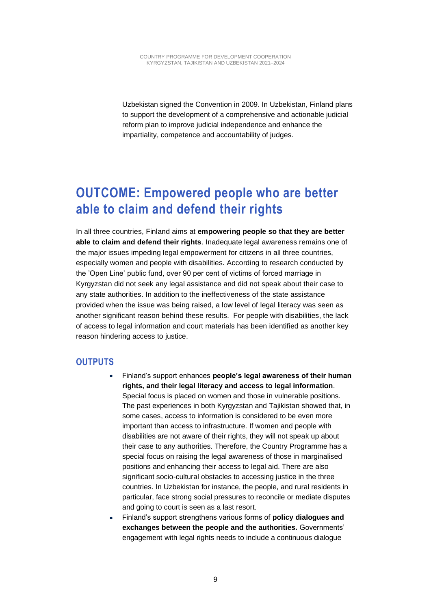Uzbekistan signed the Convention in 2009. In Uzbekistan, Finland plans to support the development of a comprehensive and actionable judicial reform plan to improve judicial independence and enhance the impartiality, competence and accountability of judges.

### <span id="page-8-0"></span>**OUTCOME: Empowered people who are better able to claim and defend their rights**

In all three countries, Finland aims at **empowering people so that they are better able to claim and defend their rights**. Inadequate legal awareness remains one of the major issues impeding legal empowerment for citizens in all three countries, especially women and people with disabilities. According to research conducted by the 'Open Line' public fund, over 90 per cent of victims of forced marriage in Kyrgyzstan did not seek any legal assistance and did not speak about their case to any state authorities. In addition to the ineffectiveness of the state assistance provided when the issue was being raised, a low level of legal literacy was seen as another significant reason behind these results. For people with disabilities, the lack of access to legal information and court materials has been identified as another key reason hindering access to justice.

#### <span id="page-8-1"></span>**OUTPUTS**

- Finland's support enhances **people's legal awareness of their human rights, and their legal literacy and access to legal information**. Special focus is placed on women and those in vulnerable positions. The past experiences in both Kyrgyzstan and Tajikistan showed that, in some cases, access to information is considered to be even more important than access to infrastructure. If women and people with disabilities are not aware of their rights, they will not speak up about their case to any authorities. Therefore, the Country Programme has a special focus on raising the legal awareness of those in marginalised positions and enhancing their access to legal aid. There are also significant socio-cultural obstacles to accessing justice in the three countries. In Uzbekistan for instance, the people, and rural residents in particular, face strong social pressures to reconcile or mediate disputes and going to court is seen as a last resort.
- Finland's support strengthens various forms of **policy dialogues and exchanges between the people and the authorities.** Governments' engagement with legal rights needs to include a continuous dialogue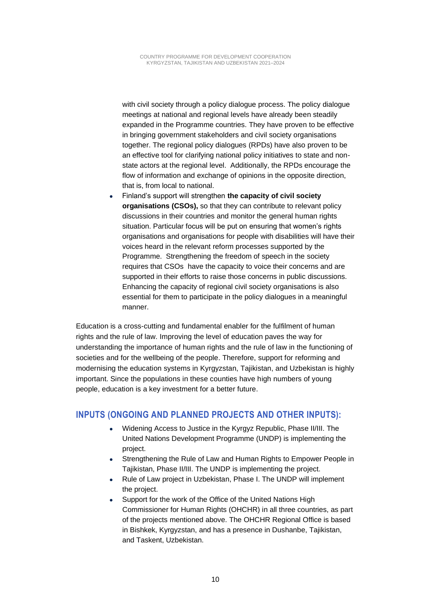with civil society through a policy dialogue process. The policy dialogue meetings at national and regional levels have already been steadily expanded in the Programme countries. They have proven to be effective in bringing government stakeholders and civil society organisations together. The regional policy dialogues (RPDs) have also proven to be an effective tool for clarifying national policy initiatives to state and nonstate actors at the regional level. Additionally, the RPDs encourage the flow of information and exchange of opinions in the opposite direction, that is, from local to national.

• Finland's support will strengthen **the capacity of civil society organisations (CSOs),** so that they can contribute to relevant policy discussions in their countries and monitor the general human rights situation. Particular focus will be put on ensuring that women's rights organisations and organisations for people with disabilities will have their voices heard in the relevant reform processes supported by the Programme. Strengthening the freedom of speech in the society requires that CSOs have the capacity to voice their concerns and are supported in their efforts to raise those concerns in public discussions. Enhancing the capacity of regional civil society organisations is also essential for them to participate in the policy dialogues in a meaningful manner.

Education is a cross-cutting and fundamental enabler for the fulfilment of human rights and the rule of law. Improving the level of education paves the way for understanding the importance of human rights and the rule of law in the functioning of societies and for the wellbeing of the people. Therefore, support for reforming and modernising the education systems in Kyrgyzstan, Tajikistan, and Uzbekistan is highly important. Since the populations in these counties have high numbers of young people, education is a key investment for a better future.

#### <span id="page-9-0"></span>**INPUTS (ONGOING AND PLANNED PROJECTS AND OTHER INPUTS):**

- Widening Access to Justice in the Kyrgyz Republic, Phase II/III. The United Nations Development Programme (UNDP) is implementing the project.
- Strengthening the Rule of Law and Human Rights to Empower People in Tajikistan, Phase II/III. The UNDP is implementing the project.
- Rule of Law project in Uzbekistan, Phase I. The UNDP will implement the project.
- Support for the work of the Office of the United Nations High Commissioner for Human Rights (OHCHR) in all three countries, as part of the projects mentioned above. The OHCHR Regional Office is based in Bishkek, Kyrgyzstan, and has a presence in Dushanbe, Tajikistan, and Taskent, Uzbekistan.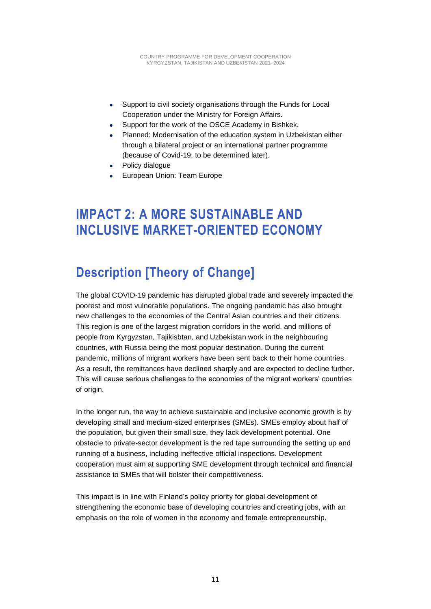- Support to civil society organisations through the Funds for Local Cooperation under the Ministry for Foreign Affairs.
- Support for the work of the OSCE Academy in Bishkek.
- Planned: Modernisation of the education system in Uzbekistan either through a bilateral project or an international partner programme (because of Covid-19, to be determined later).
- Policy dialogue
- European Union: Team Europe

### <span id="page-10-0"></span>**IMPACT 2: A MORE SUSTAINABLE AND INCLUSIVE MARKET-ORIENTED ECONOMY**

### <span id="page-10-1"></span>**Description [Theory of Change]**

The global COVID-19 pandemic has disrupted global trade and severely impacted the poorest and most vulnerable populations. The ongoing pandemic has also brought new challenges to the economies of the Central Asian countries and their citizens. This region is one of the largest migration corridors in the world, and millions of people from Kyrgyzstan, Tajikisbtan, and Uzbekistan work in the neighbouring countries, with Russia being the most popular destination. During the current pandemic, millions of migrant workers have been sent back to their home countries. As a result, the remittances have declined sharply and are expected to decline further. This will cause serious challenges to the economies of the migrant workers' countries of origin.

In the longer run, the way to achieve sustainable and inclusive economic growth is by developing small and medium-sized enterprises (SMEs). SMEs employ about half of the population, but given their small size, they lack development potential. One obstacle to private-sector development is the red tape surrounding the setting up and running of a business, including ineffective official inspections. Development cooperation must aim at supporting SME development through technical and financial assistance to SMEs that will bolster their competitiveness.

This impact is in line with Finland's policy priority for global development of strengthening the economic base of developing countries and creating jobs, with an emphasis on the role of women in the economy and female entrepreneurship.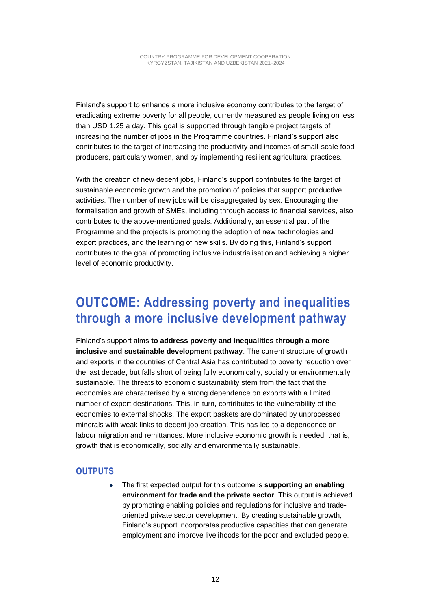Finland's support to enhance a more inclusive economy contributes to the target of eradicating extreme poverty for all people, currently measured as people living on less than USD 1.25 a day. This goal is supported through tangible project targets of increasing the number of jobs in the Programme countries. Finland's support also contributes to the target of increasing the productivity and incomes of small-scale food producers, particulary women, and by implementing resilient agricultural practices.

With the creation of new decent jobs, Finland's support contributes to the target of sustainable economic growth and the promotion of policies that support productive activities. The number of new jobs will be disaggregated by sex. Encouraging the formalisation and growth of SMEs, including through access to financial services, also contributes to the above-mentioned goals. Additionally, an essential part of the Programme and the projects is promoting the adoption of new technologies and export practices, and the learning of new skills. By doing this, Finland's support contributes to the goal of promoting inclusive industrialisation and achieving a higher level of economic productivity.

### <span id="page-11-0"></span>**OUTCOME: Addressing poverty and inequalities through a more inclusive development pathway**

Finland's support aims **to address poverty and inequalities through a more inclusive and sustainable development pathway**. The current structure of growth and exports in the countries of Central Asia has contributed to poverty reduction over the last decade, but falls short of being fully economically, socially or environmentally sustainable. The threats to economic sustainability stem from the fact that the economies are characterised by a strong dependence on exports with a limited number of export destinations. This, in turn, contributes to the vulnerability of the economies to external shocks. The export baskets are dominated by unprocessed minerals with weak links to decent job creation. This has led to a dependence on labour migration and remittances. More inclusive economic growth is needed, that is, growth that is economically, socially and environmentally sustainable.

#### <span id="page-11-1"></span>**OUTPUTS**

• The first expected output for this outcome is **supporting an enabling environment for trade and the private sector**. This output is achieved by promoting enabling policies and regulations for inclusive and tradeoriented private sector development. By creating sustainable growth, Finland's support incorporates productive capacities that can generate employment and improve livelihoods for the poor and excluded people.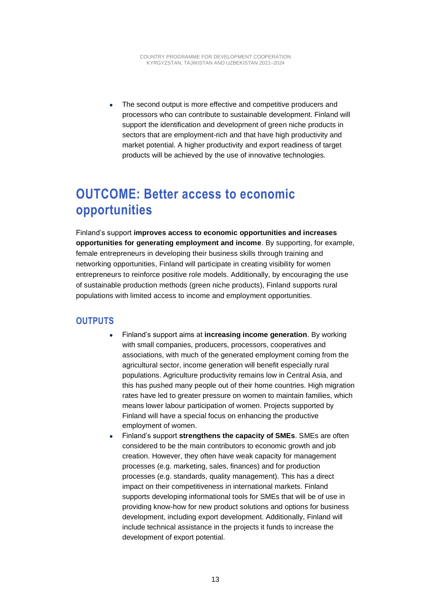• The second output is more effective and competitive producers and processors who can contribute to sustainable development. Finland will support the identification and development of green niche products in sectors that are employment-rich and that have high productivity and market potential. A higher productivity and export readiness of target products will be achieved by the use of innovative technologies.

### <span id="page-12-0"></span>**OUTCOME: Better access to economic opportunities**

Finland's support **improves access to economic opportunities and increases opportunities for generating employment and income**. By supporting, for example, female entrepreneurs in developing their business skills through training and networking opportunities, Finland will participate in creating visibility for women entrepreneurs to reinforce positive role models. Additionally, by encouraging the use of sustainable production methods (green niche products), Finland supports rural populations with limited access to income and employment opportunities.

#### <span id="page-12-1"></span>**OUTPUTS**

- Finland's support aims at **increasing income generation**. By working with small companies, producers, processors, cooperatives and associations, with much of the generated employment coming from the agricultural sector, income generation will benefit especially rural populations. Agriculture productivity remains low in Central Asia, and this has pushed many people out of their home countries. High migration rates have led to greater pressure on women to maintain families, which means lower labour participation of women. Projects supported by Finland will have a special focus on enhancing the productive employment of women.
- Finland's support **strengthens the capacity of SMEs**. SMEs are often considered to be the main contributors to economic growth and job creation. However, they often have weak capacity for management processes (e.g. marketing, sales, finances) and for production processes (e.g. standards, quality management). This has a direct impact on their competitiveness in international markets. Finland supports developing informational tools for SMEs that will be of use in providing know-how for new product solutions and options for business development, including export development. Additionally, Finland will include technical assistance in the projects it funds to increase the development of export potential.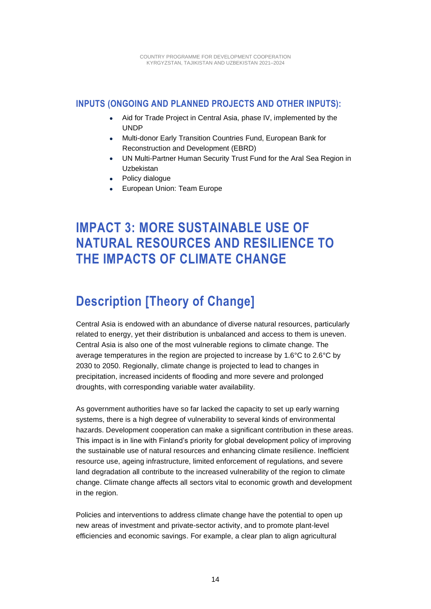#### <span id="page-13-0"></span>**INPUTS (ONGOING AND PLANNED PROJECTS AND OTHER INPUTS):**

- Aid for Trade Project in Central Asia, phase IV, implemented by the UNDP
- Multi-donor Early Transition Countries Fund, European Bank for Reconstruction and Development (EBRD)
- UN Multi-Partner Human Security Trust Fund for the Aral Sea Region in Uzbekistan
- Policy dialogue
- European Union: Team Europe

### <span id="page-13-1"></span>**IMPACT 3: MORE SUSTAINABLE USE OF NATURAL RESOURCES AND RESILIENCE TO THE IMPACTS OF CLIMATE CHANGE**

### <span id="page-13-2"></span>**Description [Theory of Change]**

Central Asia is endowed with an abundance of diverse natural resources, particularly related to energy, yet their distribution is unbalanced and access to them is uneven. Central Asia is also one of the most vulnerable regions to climate change. The average temperatures in the region are projected to increase by 1.6°C to 2.6°C by 2030 to 2050. Regionally, climate change is projected to lead to changes in precipitation, increased incidents of flooding and more severe and prolonged droughts, with corresponding variable water availability.

As government authorities have so far lacked the capacity to set up early warning systems, there is a high degree of vulnerability to several kinds of environmental hazards. Development cooperation can make a significant contribution in these areas. This impact is in line with Finland's priority for global development policy of improving the sustainable use of natural resources and enhancing climate resilience. Inefficient resource use, ageing infrastructure, limited enforcement of regulations, and severe land degradation all contribute to the increased vulnerability of the region to climate change. Climate change affects all sectors vital to economic growth and development in the region.

Policies and interventions to address climate change have the potential to open up new areas of investment and private-sector activity, and to promote plant-level efficiencies and economic savings. For example, a clear plan to align agricultural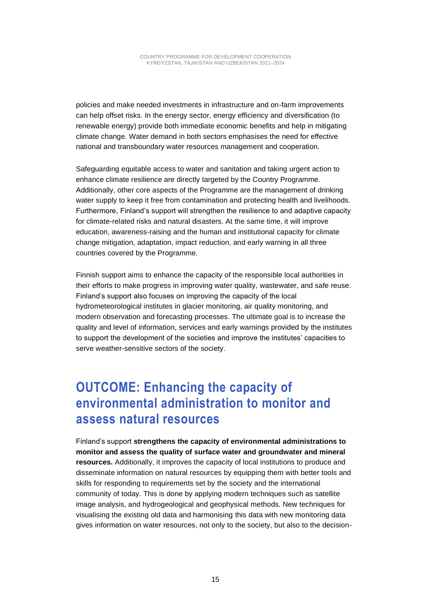policies and make needed investments in infrastructure and on-farm improvements can help offset risks. In the energy sector, energy efficiency and diversification (to renewable energy) provide both immediate economic benefits and help in mitigating climate change. Water demand in both sectors emphasises the need for effective national and transboundary water resources management and cooperation.

Safeguarding equitable access to water and sanitation and taking urgent action to enhance climate resilience are directly targeted by the Country Programme. Additionally, other core aspects of the Programme are the management of drinking water supply to keep it free from contamination and protecting health and livelihoods. Furthermore, Finland's support will strengthen the resilience to and adaptive capacity for climate-related risks and natural disasters. At the same time, it will improve education, awareness-raising and the human and institutional capacity for climate change mitigation, adaptation, impact reduction, and early warning in all three countries covered by the Programme.

Finnish support aims to enhance the capacity of the responsible local authorities in their efforts to make progress in improving water quality, wastewater, and safe reuse. Finland's support also focuses on improving the capacity of the local hydrometeorological institutes in glacier monitoring, air quality monitoring, and modern observation and forecasting processes. The ultimate goal is to increase the quality and level of information, services and early warnings provided by the institutes to support the development of the societies and improve the institutes' capacities to serve weather-sensitive sectors of the society.

#### <span id="page-14-0"></span>**OUTCOME: Enhancing the capacity of environmental administration to monitor and assess natural resources**

Finland's support **strengthens the capacity of environmental administrations to monitor and assess the quality of surface water and groundwater and mineral resources.** Additionally, it improves the capacity of local institutions to produce and disseminate information on natural resources by equipping them with better tools and skills for responding to requirements set by the society and the international community of today. This is done by applying modern techniques such as satellite image analysis, and hydrogeological and geophysical methods. New techniques for visualising the existing old data and harmonising this data with new monitoring data gives information on water resources, not only to the society, but also to the decision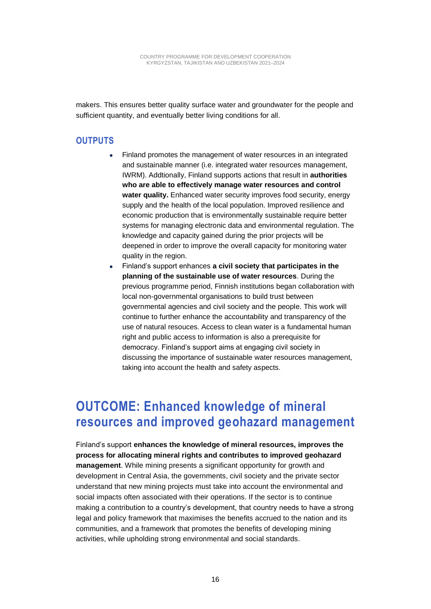makers. This ensures better quality surface water and groundwater for the people and sufficient quantity, and eventually better living conditions for all.

#### <span id="page-15-0"></span>**OUTPUTS**

- Finland promotes the management of water resources in an integrated and sustainable manner (i.e. integrated water resources management, IWRM). Addtionally, Finland supports actions that result in **authorities who are able to effectively manage water resources and control water quality.** Enhanced water security improves food security, energy supply and the health of the local population. Improved resilience and economic production that is environmentally sustainable require better systems for managing electronic data and environmental regulation. The knowledge and capacity gained during the prior projects will be deepened in order to improve the overall capacity for monitoring water quality in the region.
- Finland's support enhances **a civil society that participates in the planning of the sustainable use of water resources**. During the previous programme period, Finnish institutions began collaboration with local non-governmental organisations to build trust between governmental agencies and civil society and the people. This work will continue to further enhance the accountability and transparency of the use of natural resouces. Access to clean water is a fundamental human right and public access to information is also a prerequisite for democracy. Finland's support aims at engaging civil society in discussing the importance of sustainable water resources management, taking into account the health and safety aspects.

#### <span id="page-15-1"></span>**OUTCOME: Enhanced knowledge of mineral resources and improved geohazard management**

Finland's support **enhances the knowledge of mineral resources, improves the process for allocating mineral rights and contributes to improved geohazard management**. While mining presents a significant opportunity for growth and development in Central Asia, the governments, civil society and the private sector understand that new mining projects must take into account the environmental and social impacts often associated with their operations. If the sector is to continue making a contribution to a country's development, that country needs to have a strong legal and policy framework that maximises the benefits accrued to the nation and its communities, and a framework that promotes the benefits of developing mining activities, while upholding strong environmental and social standards.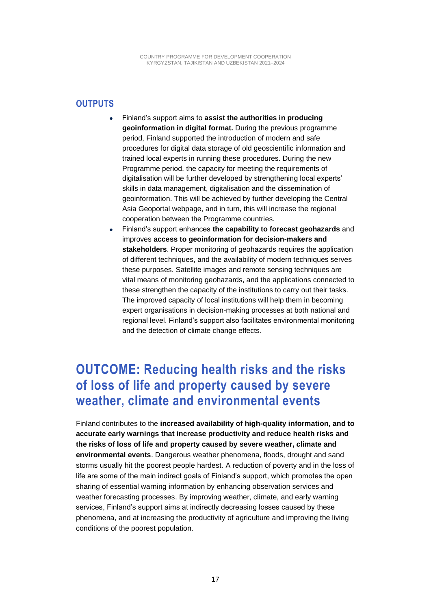#### <span id="page-16-0"></span>**OUTPUTS**

- Finland's support aims to **assist the authorities in producing geoinformation in digital format.** During the previous programme period, Finland supported the introduction of modern and safe procedures for digital data storage of old geoscientific information and trained local experts in running these procedures. During the new Programme period, the capacity for meeting the requirements of digitalisation will be further developed by strengthening local experts' skills in data management, digitalisation and the dissemination of geoinformation. This will be achieved by further developing the Central Asia Geoportal webpage, and in turn, this will increase the regional cooperation between the Programme countries.
- Finland's support enhances **the capability to forecast geohazards** and improves **access to geoinformation for decision-makers and stakeholders**. Proper monitoring of geohazards requires the application of different techniques, and the availability of modern techniques serves these purposes. Satellite images and remote sensing techniques are vital means of monitoring geohazards, and the applications connected to these strengthen the capacity of the institutions to carry out their tasks. The improved capacity of local institutions will help them in becoming expert organisations in decision-making processes at both national and regional level. Finland's support also facilitates environmental monitoring and the detection of climate change effects.

#### <span id="page-16-1"></span>**OUTCOME: Reducing health risks and the risks of loss of life and property caused by severe weather, climate and environmental events**

Finland contributes to the **increased availability of high-quality information, and to accurate early warnings that increase productivity and reduce health risks and the risks of loss of life and property caused by severe weather, climate and environmental events**. Dangerous weather phenomena, floods, drought and sand storms usually hit the poorest people hardest. A reduction of poverty and in the loss of life are some of the main indirect goals of Finland's support, which promotes the open sharing of essential warning information by enhancing observation services and weather forecasting processes. By improving weather, climate, and early warning services, Finland's support aims at indirectly decreasing losses caused by these phenomena, and at increasing the productivity of agriculture and improving the living conditions of the poorest population.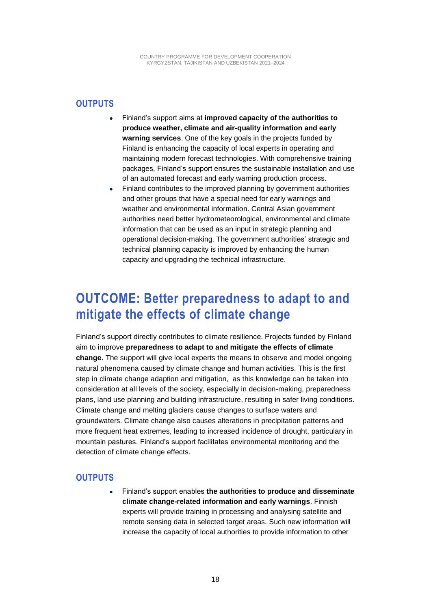#### <span id="page-17-0"></span>**OUTPUTS**

- Finland's support aims at **improved capacity of the authorities to produce weather, climate and air-quality information and early warning services**. One of the key goals in the projects funded by Finland is enhancing the capacity of local experts in operating and maintaining modern forecast technologies. With comprehensive training packages, Finland's support ensures the sustainable installation and use of an automated forecast and early warning production process.
- Finland contributes to the improved planning by government authorities and other groups that have a special need for early warnings and weather and environmental information. Central Asian government authorities need better hydrometeorological, environmental and climate information that can be used as an input in strategic planning and operational decision-making. The government authorities' strategic and technical planning capacity is improved by enhancing the human capacity and upgrading the technical infrastructure.

### <span id="page-17-1"></span>**OUTCOME: Better preparedness to adapt to and mitigate the effects of climate change**

Finland's support directly contributes to climate resilience. Projects funded by Finland aim to improve **preparedness to adapt to and mitigate the effects of climate change**. The support will give local experts the means to observe and model ongoing natural phenomena caused by climate change and human activities. This is the first step in climate change adaption and mitigation, as this knowledge can be taken into consideration at all levels of the society, especially in decision-making, preparedness plans, land use planning and building infrastructure, resulting in safer living conditions. Climate change and melting glaciers cause changes to surface waters and groundwaters. Climate change also causes alterations in precipitation patterns and more frequent heat extremes, leading to increased incidence of drought, particulary in mountain pastures. Finland's support facilitates environmental monitoring and the detection of climate change effects.

#### <span id="page-17-2"></span>**OUTPUTS**

• Finland's support enables **the authorities to produce and disseminate climate change-related information and early warnings**. Finnish experts will provide training in processing and analysing satellite and remote sensing data in selected target areas. Such new information will increase the capacity of local authorities to provide information to other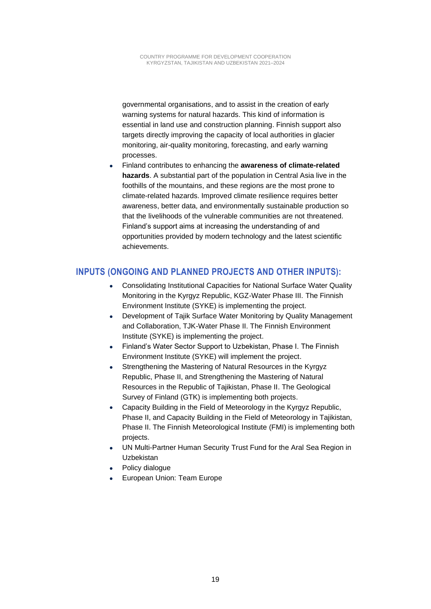governmental organisations, and to assist in the creation of early warning systems for natural hazards. This kind of information is essential in land use and construction planning. Finnish support also targets directly improving the capacity of local authorities in glacier monitoring, air-quality monitoring, forecasting, and early warning processes.

• Finland contributes to enhancing the **awareness of climate-related hazards**. A substantial part of the population in Central Asia live in the foothills of the mountains, and these regions are the most prone to climate-related hazards. Improved climate resilience requires better awareness, better data, and environmentally sustainable production so that the livelihoods of the vulnerable communities are not threatened. Finland's support aims at increasing the understanding of and opportunities provided by modern technology and the latest scientific achievements.

#### <span id="page-18-0"></span>**INPUTS (ONGOING AND PLANNED PROJECTS AND OTHER INPUTS):**

- Consolidating Institutional Capacities for National Surface Water Quality Monitoring in the Kyrgyz Republic, KGZ-Water Phase III. The Finnish Environment Institute (SYKE) is implementing the project.
- Development of Tajik Surface Water Monitoring by Quality Management and Collaboration, TJK-Water Phase II. The Finnish Environment Institute (SYKE) is implementing the project.
- Finland's Water Sector Support to Uzbekistan, Phase I. The Finnish Environment Institute (SYKE) will implement the project.
- Strengthening the Mastering of Natural Resources in the Kyrgyz Republic, Phase II, and Strengthening the Mastering of Natural Resources in the Republic of Tajikistan, Phase II. The Geological Survey of Finland (GTK) is implementing both projects.
- Capacity Building in the Field of Meteorology in the Kyrgyz Republic, Phase II, and Capacity Building in the Field of Meteorology in Tajikistan, Phase II. The Finnish Meteorological Institute (FMI) is implementing both projects.
- UN Multi-Partner Human Security Trust Fund for the Aral Sea Region in Uzbekistan
- Policy dialogue
- European Union: Team Europe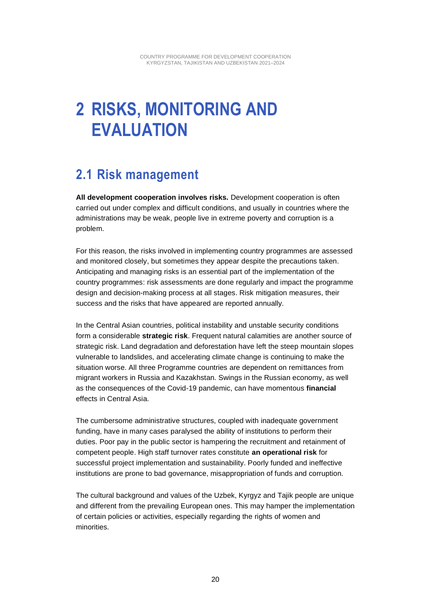## <span id="page-19-0"></span>**2 RISKS, MONITORING AND EVALUATION**

### <span id="page-19-1"></span>**2.1 Risk management**

**All development cooperation involves risks.** Development cooperation is often carried out under complex and difficult conditions, and usually in countries where the administrations may be weak, people live in extreme poverty and corruption is a problem.

For this reason, the risks involved in implementing country programmes are assessed and monitored closely, but sometimes they appear despite the precautions taken. Anticipating and managing risks is an essential part of the implementation of the country programmes: risk assessments are done regularly and impact the programme design and decision-making process at all stages. Risk mitigation measures, their success and the risks that have appeared are reported annually.

In the Central Asian countries, political instability and unstable security conditions form a considerable **strategic risk**. Frequent natural calamities are another source of strategic risk. Land degradation and deforestation have left the steep mountain slopes vulnerable to landslides, and accelerating climate change is continuing to make the situation worse. All three Programme countries are dependent on remittances from migrant workers in Russia and Kazakhstan. Swings in the Russian economy, as well as the consequences of the Covid-19 pandemic, can have momentous **financial** effects in Central Asia.

The cumbersome administrative structures, coupled with inadequate government funding, have in many cases paralysed the ability of institutions to perform their duties. Poor pay in the public sector is hampering the recruitment and retainment of competent people. High staff turnover rates constitute **an operational risk** for successful project implementation and sustainability. Poorly funded and ineffective institutions are prone to bad governance, misappropriation of funds and corruption.

The cultural background and values of the Uzbek, Kyrgyz and Tajik people are unique and different from the prevailing European ones. This may hamper the implementation of certain policies or activities, especially regarding the rights of women and minorities.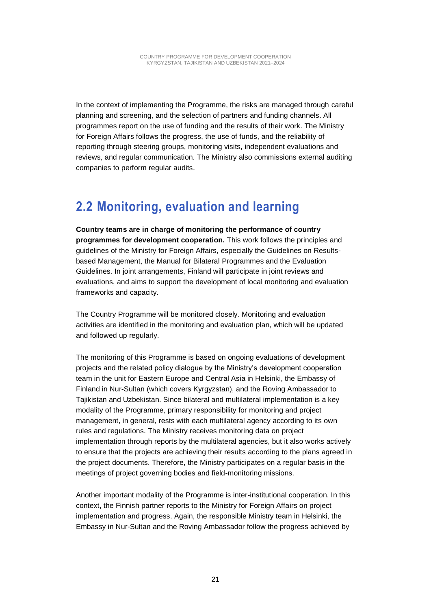In the context of implementing the Programme, the risks are managed through careful planning and screening, and the selection of partners and funding channels. All programmes report on the use of funding and the results of their work. The Ministry for Foreign Affairs follows the progress, the use of funds, and the reliability of reporting through steering groups, monitoring visits, independent evaluations and reviews, and regular communication. The Ministry also commissions external auditing companies to perform regular audits.

### <span id="page-20-0"></span>**2.2 Monitoring, evaluation and learning**

**Country teams are in charge of monitoring the performance of country programmes for development cooperation.** This work follows the principles and guidelines of the Ministry for Foreign Affairs, especially the Guidelines on Resultsbased Management, the Manual for Bilateral Programmes and the Evaluation Guidelines. In joint arrangements, Finland will participate in joint reviews and evaluations, and aims to support the development of local monitoring and evaluation frameworks and capacity.

The Country Programme will be monitored closely. Monitoring and evaluation activities are identified in the monitoring and evaluation plan, which will be updated and followed up regularly.

The monitoring of this Programme is based on ongoing evaluations of development projects and the related policy dialogue by the Ministry's development cooperation team in the unit for Eastern Europe and Central Asia in Helsinki, the Embassy of Finland in Nur-Sultan (which covers Kyrgyzstan), and the Roving Ambassador to Tajikistan and Uzbekistan. Since bilateral and multilateral implementation is a key modality of the Programme, primary responsibility for monitoring and project management, in general, rests with each multilateral agency according to its own rules and regulations. The Ministry receives monitoring data on project implementation through reports by the multilateral agencies, but it also works actively to ensure that the projects are achieving their results according to the plans agreed in the project documents. Therefore, the Ministry participates on a regular basis in the meetings of project governing bodies and field-monitoring missions.

Another important modality of the Programme is inter-institutional cooperation. In this context, the Finnish partner reports to the Ministry for Foreign Affairs on project implementation and progress. Again, the responsible Ministry team in Helsinki, the Embassy in Nur-Sultan and the Roving Ambassador follow the progress achieved by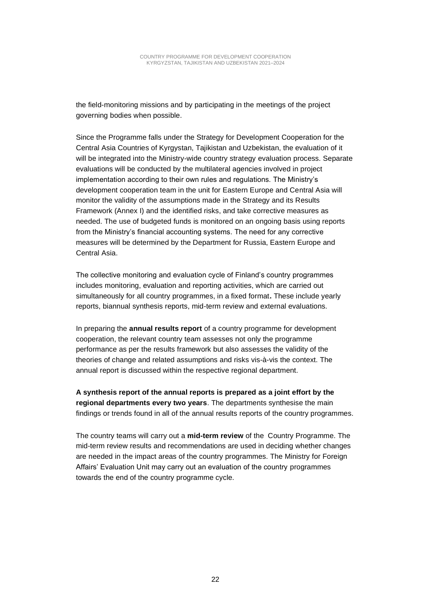the field-monitoring missions and by participating in the meetings of the project governing bodies when possible.

Since the Programme falls under the Strategy for Development Cooperation for the Central Asia Countries of Kyrgystan, Tajikistan and Uzbekistan, the evaluation of it will be integrated into the Ministry-wide country strategy evaluation process. Separate evaluations will be conducted by the multilateral agencies involved in project implementation according to their own rules and regulations. The Ministry's development cooperation team in the unit for Eastern Europe and Central Asia will monitor the validity of the assumptions made in the Strategy and its Results Framework (Annex I) and the identified risks, and take corrective measures as needed. The use of budgeted funds is monitored on an ongoing basis using reports from the Ministry's financial accounting systems. The need for any corrective measures will be determined by the Department for Russia, Eastern Europe and Central Asia.

The collective monitoring and evaluation cycle of Finland's country programmes includes monitoring, evaluation and reporting activities, which are carried out simultaneously for all country programmes, in a fixed format**.** These include yearly reports, biannual synthesis reports, mid-term review and external evaluations.

In preparing the **annual results report** of a country programme for development cooperation, the relevant country team assesses not only the programme performance as per the results framework but also assesses the validity of the theories of change and related assumptions and risks vis-à-vis the context. The annual report is discussed within the respective regional department.

**A synthesis report of the annual reports is prepared as a joint effort by the regional departments every two years**. The departments synthesise the main findings or trends found in all of the annual results reports of the country programmes.

The country teams will carry out a **mid-term review** of the Country Programme. The mid-term review results and recommendations are used in deciding whether changes are needed in the impact areas of the country programmes. The Ministry for Foreign Affairs' Evaluation Unit may carry out an evaluation of the country programmes towards the end of the country programme cycle.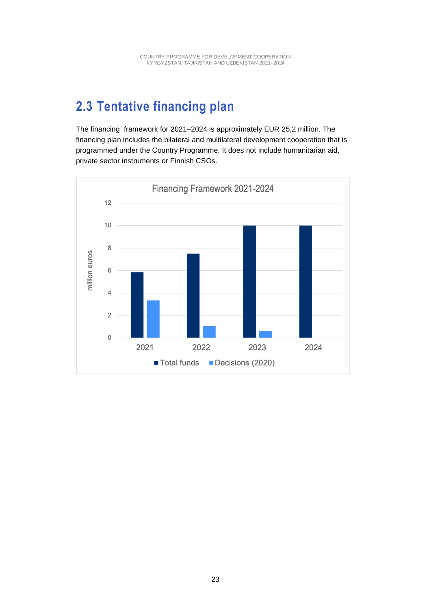### <span id="page-22-0"></span>**2.3 Tentative financing plan**

The financing framework for 2021–2024 is approximately EUR 25,2 million. The financing plan includes the bilateral and multilateral development cooperation that is programmed under the Country Programme. It does not include humanitarian aid, private sector instruments or Finnish CSOs.